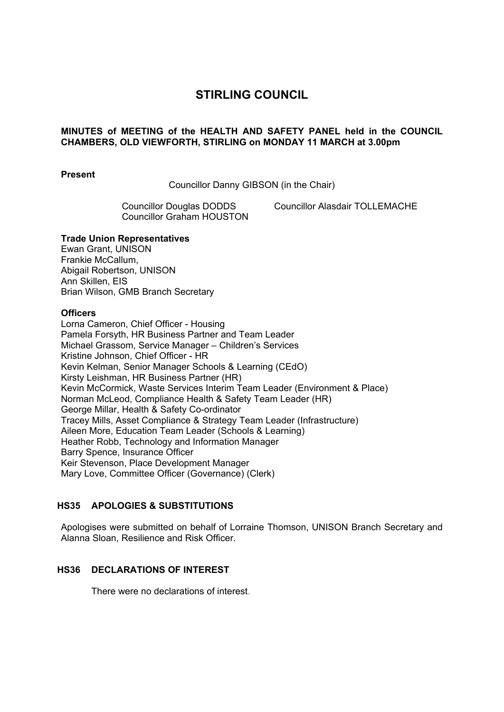# **STIRLING COUNCIL**

## **MINUTES of MEETING of the HEALTH AND SAFETY PANEL held in the COUNCIL CHAMBERS, OLD VIEWFORTH, STIRLING on MONDAY 11 MARCH at 3.00pm**

#### **Present**

Councillor Danny GIBSON (in the Chair)

Councillor Graham HOUSTON

Councillor Douglas DODDS Councillor Alasdair TOLLEMACHE

#### **Trade Union Representatives**

Ewan Grant, UNISON Frankie McCallum, Abigail Robertson, UNISON Ann Skillen, EIS Brian Wilson, GMB Branch Secretary

#### **Officers**

Lorna Cameron, Chief Officer - Housing Pamela Forsyth, HR Business Partner and Team Leader Michael Grassom, Service Manager – Children's Services Kristine Johnson, Chief Officer - HR Kevin Kelman, Senior Manager Schools & Learning (CEdO) Kirsty Leishman, HR Business Partner (HR) Kevin McCormick, Waste Services Interim Team Leader (Environment & Place) Norman McLeod, Compliance Health & Safety Team Leader (HR) George Millar, Health & Safety Co-ordinator Tracey Mills, Asset Compliance & Strategy Team Leader (Infrastructure) Aileen More, Education Team Leader (Schools & Learning) Heather Robb, Technology and Information Manager Barry Spence, Insurance Officer Keir Stevenson, Place Development Manager Mary Love, Committee Officer (Governance) (Clerk)

#### **HS35 APOLOGIES & SUBSTITUTIONS**

Apologises were submitted on behalf of Lorraine Thomson, UNISON Branch Secretary and Alanna Sloan, Resilience and Risk Officer.

## **HS36 DECLARATIONS OF INTEREST**

There were no declarations of interest.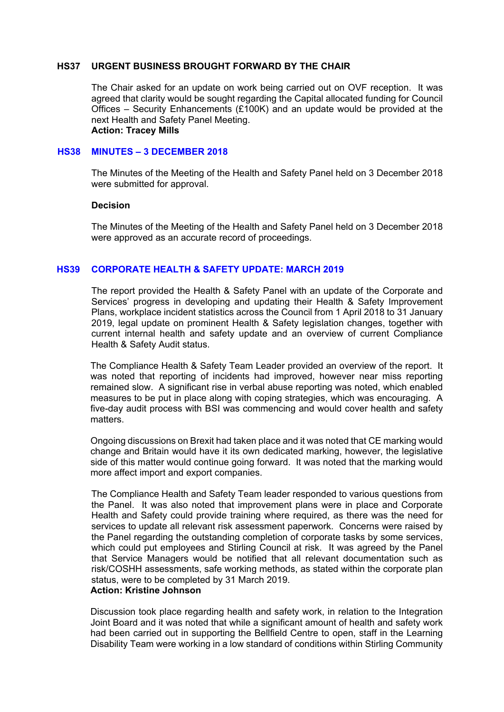#### **HS37 URGENT BUSINESS BROUGHT FORWARD BY THE CHAIR**

The Chair asked for an update on work being carried out on OVF reception. It was agreed that clarity would be sought regarding the Capital allocated funding for Council Offices – Security Enhancements (£100K) and an update would be provided at the next Health and Safety Panel Meeting. **Action: Tracey Mills** 

#### **HS38 MINUTES – 3 DECEMBER 2018**

The Minutes of the Meeting of the Health and Safety Panel held on 3 December 2018 were submitted for approval.

#### **Decision**

The Minutes of the Meeting of the Health and Safety Panel held on 3 December 2018 were approved as an accurate record of proceedings.

## **HS39 CORPORATE HEALTH & SAFETY UPDATE: MARCH 2019**

The report provided the Health & Safety Panel with an update of the Corporate and Services' progress in developing and updating their Health & Safety Improvement Plans, workplace incident statistics across the Council from 1 April 2018 to 31 January 2019, legal update on prominent Health & Safety legislation changes, together with current internal health and safety update and an overview of current Compliance Health & Safety Audit status.

The Compliance Health & Safety Team Leader provided an overview of the report. It was noted that reporting of incidents had improved, however near miss reporting remained slow. A significant rise in verbal abuse reporting was noted, which enabled measures to be put in place along with coping strategies, which was encouraging. A five-day audit process with BSI was commencing and would cover health and safety matters.

Ongoing discussions on Brexit had taken place and it was noted that CE marking would change and Britain would have it its own dedicated marking, however, the legislative side of this matter would continue going forward. It was noted that the marking would more affect import and export companies.

The Compliance Health and Safety Team leader responded to various questions from the Panel. It was also noted that improvement plans were in place and Corporate Health and Safety could provide training where required, as there was the need for services to update all relevant risk assessment paperwork. Concerns were raised by the Panel regarding the outstanding completion of corporate tasks by some services, which could put employees and Stirling Council at risk. It was agreed by the Panel that Service Managers would be notified that all relevant documentation such as risk/COSHH assessments, safe working methods, as stated within the corporate plan status, were to be completed by 31 March 2019.

## **Action: Kristine Johnson**

Discussion took place regarding health and safety work, in relation to the Integration Joint Board and it was noted that while a significant amount of health and safety work had been carried out in supporting the Bellfield Centre to open, staff in the Learning Disability Team were working in a low standard of conditions within Stirling Community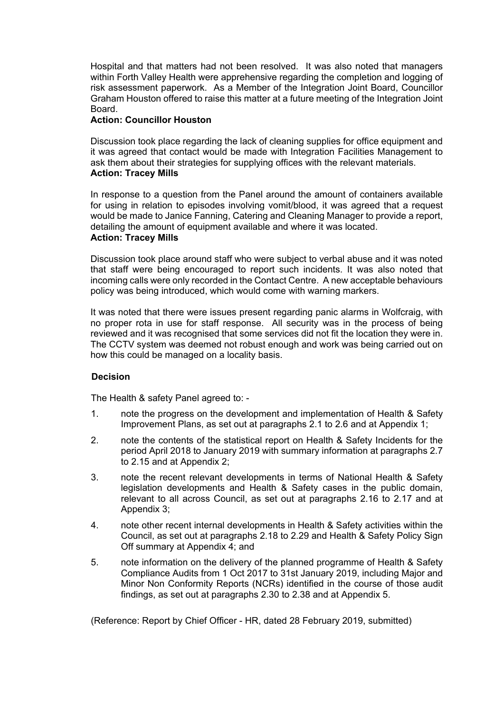Hospital and that matters had not been resolved. It was also noted that managers within Forth Valley Health were apprehensive regarding the completion and logging of risk assessment paperwork. As a Member of the Integration Joint Board, Councillor Graham Houston offered to raise this matter at a future meeting of the Integration Joint Board.

## **Action: Councillor Houston**

Discussion took place regarding the lack of cleaning supplies for office equipment and it was agreed that contact would be made with Integration Facilities Management to ask them about their strategies for supplying offices with the relevant materials. **Action: Tracey Mills** 

In response to a question from the Panel around the amount of containers available for using in relation to episodes involving vomit/blood, it was agreed that a request would be made to Janice Fanning, Catering and Cleaning Manager to provide a report, detailing the amount of equipment available and where it was located. **Action: Tracey Mills** 

Discussion took place around staff who were subject to verbal abuse and it was noted that staff were being encouraged to report such incidents. It was also noted that incoming calls were only recorded in the Contact Centre. A new acceptable behaviours policy was being introduced, which would come with warning markers.

It was noted that there were issues present regarding panic alarms in Wolfcraig, with no proper rota in use for staff response. All security was in the process of being reviewed and it was recognised that some services did not fit the location they were in. The CCTV system was deemed not robust enough and work was being carried out on how this could be managed on a locality basis.

## **Decision**

The Health & safety Panel agreed to: -

- 1. note the progress on the development and implementation of Health & Safety Improvement Plans, as set out at paragraphs 2.1 to 2.6 and at Appendix 1;
- 2. note the contents of the statistical report on Health & Safety Incidents for the period April 2018 to January 2019 with summary information at paragraphs 2.7 to 2.15 and at Appendix 2;
- 3. note the recent relevant developments in terms of National Health & Safety legislation developments and Health & Safety cases in the public domain, relevant to all across Council, as set out at paragraphs 2.16 to 2.17 and at Appendix 3;
- 4. note other recent internal developments in Health & Safety activities within the Council, as set out at paragraphs 2.18 to 2.29 and Health & Safety Policy Sign Off summary at Appendix 4; and
- 5. note information on the delivery of the planned programme of Health & Safety Compliance Audits from 1 Oct 2017 to 31st January 2019, including Major and Minor Non Conformity Reports (NCRs) identified in the course of those audit findings, as set out at paragraphs 2.30 to 2.38 and at Appendix 5.

(Reference: Report by Chief Officer - HR, dated 28 February 2019, submitted)